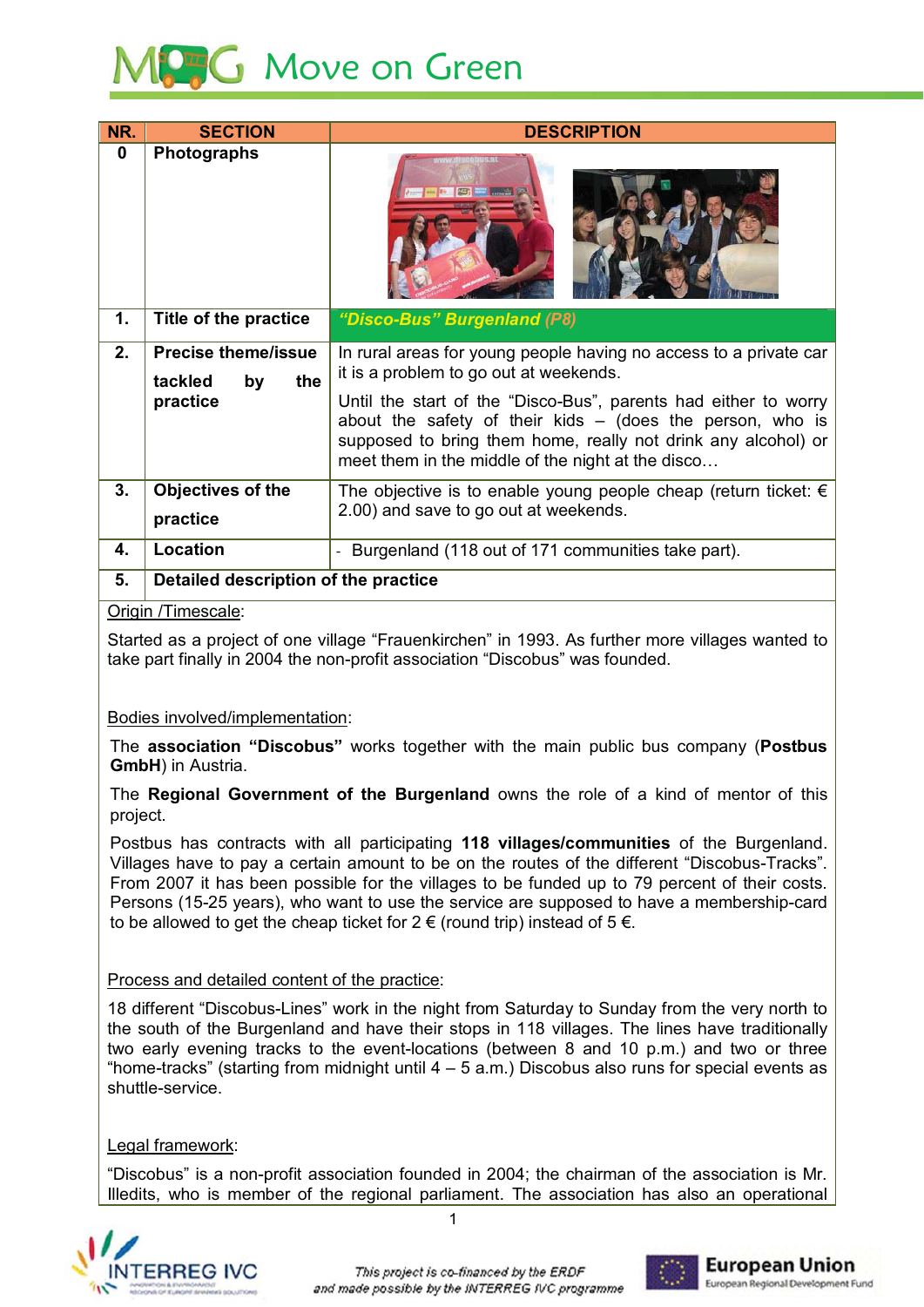

| NR.      | <b>SECTION</b>                                     | <b>DESCRIPTION</b>                                                                                                                                                                                                                                   |
|----------|----------------------------------------------------|------------------------------------------------------------------------------------------------------------------------------------------------------------------------------------------------------------------------------------------------------|
| $\bf{0}$ | <b>Photographs</b>                                 |                                                                                                                                                                                                                                                      |
| 1.       | Title of the practice                              | "Disco-Bus" Burgenland (P8)                                                                                                                                                                                                                          |
| 2.       | <b>Precise theme/issue</b><br>the<br>tackled<br>by | In rural areas for young people having no access to a private car<br>it is a problem to go out at weekends.                                                                                                                                          |
|          | practice                                           | Until the start of the "Disco-Bus", parents had either to worry<br>about the safety of their kids $-$ (does the person, who is<br>supposed to bring them home, really not drink any alcohol) or<br>meet them in the middle of the night at the disco |
| 3.       | Objectives of the<br>practice                      | The objective is to enable young people cheap (return ticket: $\epsilon$<br>2.00) and save to go out at weekends.                                                                                                                                    |
| 4.       | Location                                           | Burgenland (118 out of 171 communities take part).                                                                                                                                                                                                   |
| 5.       | Detailed description of the practice               |                                                                                                                                                                                                                                                      |

### Origin /Timescale:

Started as a project of one village "Frauenkirchen" in 1993. As further more villages wanted to take part finally in 2004 the non-profit association "Discobus" was founded.

## Bodies involved/implementation:

The association "Discobus" works together with the main public bus company (Postbus **GmbH**) in Austria.

The Regional Government of the Burgenland owns the role of a kind of mentor of this project.

Postbus has contracts with all participating 118 villages/communities of the Burgenland. Villages have to pay a certain amount to be on the routes of the different "Discobus-Tracks". From 2007 it has been possible for the villages to be funded up to 79 percent of their costs. Persons (15-25 years), who want to use the service are supposed to have a membership-card to be allowed to get the cheap ticket for  $2 \in ($ round trip) instead of  $5 \in$ .

## Process and detailed content of the practice:

18 different "Discobus-Lines" work in the night from Saturday to Sunday from the very north to the south of the Burgenland and have their stops in 118 villages. The lines have traditionally two early evening tracks to the event-locations (between 8 and 10 p.m.) and two or three "home-tracks" (starting from midnight until  $4 - 5$  a.m.) Discobus also runs for special events as shuttle-service.

## Legal framework:

"Discobus" is a non-profit association founded in 2004; the chairman of the association is Mr. Illedits, who is member of the regional parliament. The association has also an operational

 $\overline{1}$